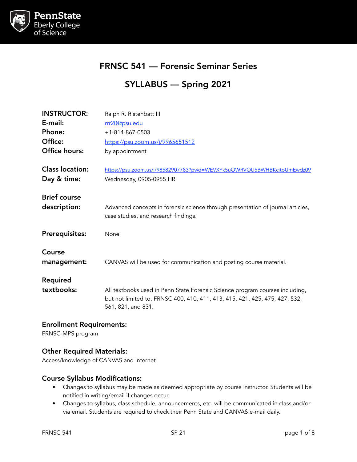

# FRNSC 541 — Forensic Seminar Series

# SYLLABUS — Spring 2021

| <b>INSTRUCTOR:</b>                    | Ralph R. Ristenbatt III                                                                                                                                                           |
|---------------------------------------|-----------------------------------------------------------------------------------------------------------------------------------------------------------------------------------|
| E-mail:                               | rrr20@psu.edu                                                                                                                                                                     |
| Phone:                                | $+1 - 814 - 867 - 0503$                                                                                                                                                           |
| Office:                               | https://psu.zoom.us/j/9965651512                                                                                                                                                  |
| Office hours:                         | by appointment                                                                                                                                                                    |
| <b>Class location:</b><br>Day & time: | https://psu.zoom.us/j/98582907783?pwd=WEVXYk5uOWRVOU5BWHBKcitpUmEwdz09<br>Wednesday, 0905-0955 HR                                                                                 |
|                                       |                                                                                                                                                                                   |
| <b>Brief course</b><br>description:   | Advanced concepts in forensic science through presentation of journal articles,<br>case studies, and research findings.                                                           |
| <b>Prerequisites:</b>                 | None                                                                                                                                                                              |
| Course<br>management:                 | CANVAS will be used for communication and posting course material.                                                                                                                |
| <b>Required</b>                       |                                                                                                                                                                                   |
| textbooks:                            | All textbooks used in Penn State Forensic Science program courses including,<br>but not limited to, FRNSC 400, 410, 411, 413, 415, 421, 425, 475, 427, 532,<br>561, 821, and 831. |
|                                       |                                                                                                                                                                                   |

#### Enrollment Requirements:

FRNSC-MPS program

### Other Required Materials:

Access/knowledge of CANVAS and Internet

#### Course Syllabus Modifications:

- Changes to syllabus may be made as deemed appropriate by course instructor. Students will be notified in writing/email if changes occur.
- Changes to syllabus, class schedule, announcements, etc. will be communicated in class and/or via email. Students are required to check their Penn State and CANVAS e-mail daily.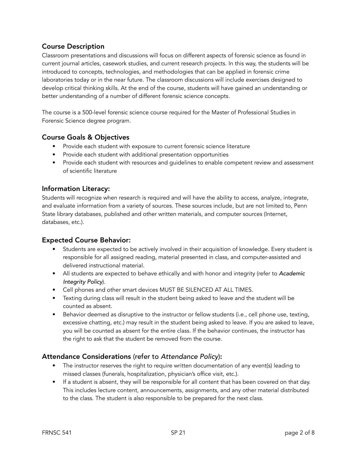# Course Description

Classroom presentations and discussions will focus on different aspects of forensic science as found in current journal articles, casework studies, and current research projects. In this way, the students will be introduced to concepts, technologies, and methodologies that can be applied in forensic crime laboratories today or in the near future. The classroom discussions will include exercises designed to develop critical thinking skills. At the end of the course, students will have gained an understanding or better understanding of a number of different forensic science concepts.

The course is a 500-level forensic science course required for the Master of Professional Studies in Forensic Science degree program.

# Course Goals & Objectives

- Provide each student with exposure to current forensic science literature
- Provide each student with additional presentation opportunities
- Provide each student with resources and guidelines to enable competent review and assessment of scientific literature

### Information Literacy:

Students will recognize when research is required and will have the ability to access, analyze, integrate, and evaluate information from a variety of sources. These sources include, but are not limited to, Penn State library databases, published and other written materials, and computer sources (Internet, databases, etc.).

### Expected Course Behavior:

- Students are expected to be actively involved in their acquisition of knowledge. Every student is responsible for all assigned reading, material presented in class, and computer-assisted and delivered instructional material.
- All students are expected to behave ethically and with honor and integrity (refer to *Academic Integrity Policy*).
- Cell phones and other smart devices MUST BE SILENCED AT ALL TIMES.
- Texting during class will result in the student being asked to leave and the student will be counted as absent.
- Behavior deemed as disruptive to the instructor or fellow students (i.e., cell phone use, texting, excessive chatting, etc.) may result in the student being asked to leave. If you are asked to leave, you will be counted as absent for the entire class. If the behavior continues, the instructor has the right to ask that the student be removed from the course.

### Attendance Considerations (refer to *Attendance Policy*):

- The instructor reserves the right to require written documentation of any event(s) leading to missed classes (funerals, hospitalization, physician's office visit, etc.).
- If a student is absent, they will be responsible for all content that has been covered on that day. This includes lecture content, announcements, assignments, and any other material distributed to the class. The student is also responsible to be prepared for the next class.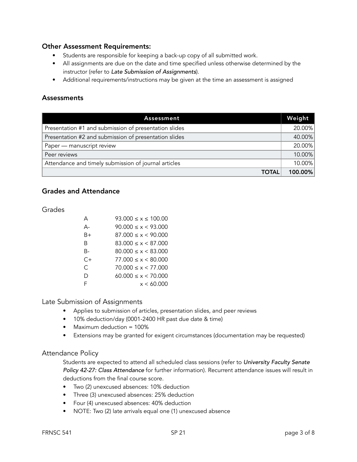#### Other Assessment Requirements:

- Students are responsible for keeping a back-up copy of all submitted work.
- All assignments are due on the date and time specified unless otherwise determined by the instructor (refer to *Late Submission of Assignments*).
- Additional requirements/instructions may be given at the time an assessment is assigned

#### **Assessments**

| Assessment                                            | Weight  |
|-------------------------------------------------------|---------|
| Presentation #1 and submission of presentation slides |         |
| Presentation #2 and submission of presentation slides |         |
| Paper - manuscript review                             |         |
| Peer reviews                                          |         |
| Attendance and timely submission of journal articles  |         |
| <b>TOTAL</b>                                          | 100.00% |

# Grades and Attendance

Grades

| А    | $93.000 \le x \le 100.00$ |
|------|---------------------------|
| А-   | 90.000 < x < 93.000       |
| B+   | 87.000 < x < 90.000       |
| R    | 83.000 < x < 87.000       |
| B-   | $80.000 \le x \le 83.000$ |
| $C+$ | 77.000 < x < 80.000       |
| C.   | 70.000 < x < 77.000       |
| D    | $60.000 \le x \le 70.000$ |
| F    | x < 60.000                |

Late Submission of Assignments

- Applies to submission of articles, presentation slides, and peer reviews
- 10% deduction/day (0001-2400 HR past due date & time)
- Maximum deduction = 100%
- Extensions may be granted for exigent circumstances (documentation may be requested)

#### Attendance Policy

Students are expected to attend all scheduled class sessions (refer to *University Faculty Senate Policy 42-27: Class Attendance* for further information). Recurrent attendance issues will result in deductions from the final course score.

- Two (2) unexcused absences: 10% deduction
- Three (3) unexcused absences: 25% deduction
- Four (4) unexcused absences: 40% deduction
- NOTE: Two (2) late arrivals equal one (1) unexcused absence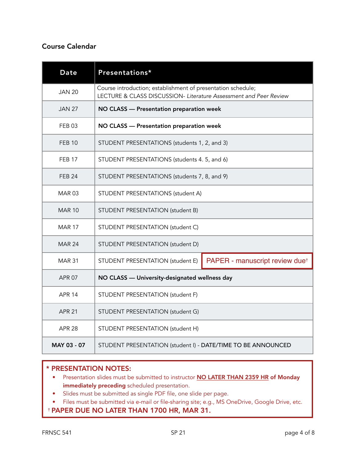# Course Calendar

| <b>Date</b>   | Presentations*                                                                                                                    |  |  |
|---------------|-----------------------------------------------------------------------------------------------------------------------------------|--|--|
| <b>JAN 20</b> | Course introduction; establishment of presentation schedule;<br>LECTURE & CLASS DISCUSSION- Literature Assessment and Peer Review |  |  |
| <b>JAN 27</b> | NO CLASS - Presentation preparation week                                                                                          |  |  |
| <b>FEB03</b>  | NO CLASS - Presentation preparation week                                                                                          |  |  |
| <b>FEB 10</b> | STUDENT PRESENTATIONS (students 1, 2, and 3)                                                                                      |  |  |
| <b>FEB 17</b> | STUDENT PRESENTATIONS (students 4. 5, and 6)                                                                                      |  |  |
| <b>FEB 24</b> | STUDENT PRESENTATIONS (students 7, 8, and 9)                                                                                      |  |  |
| <b>MAR03</b>  | STUDENT PRESENTATIONS (student A)                                                                                                 |  |  |
| <b>MAR 10</b> | STUDENT PRESENTATION (student B)                                                                                                  |  |  |
| <b>MAR 17</b> | STUDENT PRESENTATION (student C)                                                                                                  |  |  |
| <b>MAR 24</b> | STUDENT PRESENTATION (student D)                                                                                                  |  |  |
| <b>MAR 31</b> | STUDENT PRESENTATION (student E)<br>PAPER - manuscript review due <sup>t</sup>                                                    |  |  |
| <b>APR 07</b> | NO CLASS - University-designated wellness day                                                                                     |  |  |
| <b>APR 14</b> | STUDENT PRESENTATION (student F)                                                                                                  |  |  |
| <b>APR 21</b> | STUDENT PRESENTATION (student G)                                                                                                  |  |  |
| <b>APR 28</b> | STUDENT PRESENTATION (student H)                                                                                                  |  |  |
| MAY 03 - 07   | STUDENT PRESENTATION (student I) - DATE/TIME TO BE ANNOUNCED                                                                      |  |  |

### \* PRESENTATION NOTES:

- Presentation slides must be submitted to instructor **NO LATER THAN 2359 HR of Monday** immediately preceding scheduled presentation.
- Slides must be submitted as single PDF file, one slide per page.
- Files must be submitted via e-mail or file-sharing site; e.g., MS OneDrive, Google Drive, etc.

# † PAPER DUE NO LATER THAN 1700 HR, MAR 31.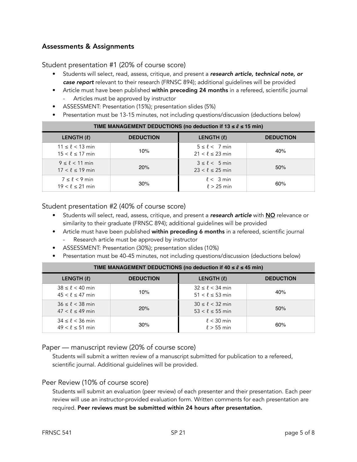# Assessments & Assignments

#### Student presentation #1 (20% of course score)

- Students will select, read, assess, critique, and present a *research article, technical note, or case report* relevant to their research (FRNSC 894); additional guidelines will be provided
- Article must have been published within preceding 24 months in a refereed, scientific journal Articles must be approved by instructor
- ASSESSMENT: Presentation (15%); presentation slides (5%)
- Presentation must be 13-15 minutes, not including questions/discussion (deductions below)

| <b>I IME MANAGEMENT DEDUCTIONS (NO GEGUCION II 13 S <math>\ell</math> S 13 MIN)</b> |                  |                                                     |                  |  |  |
|-------------------------------------------------------------------------------------|------------------|-----------------------------------------------------|------------------|--|--|
| LENGTH (0)                                                                          | <b>DEDUCTION</b> | LENGTH (L)                                          | <b>DEDUCTION</b> |  |  |
| $11 \le \ell < 13$ min<br>$15 < \ell \leq 17$ min                                   | 10%              | $5 \leq \ell \leq 7$ min<br>$21 < \ell \leq 23$ min | 40%              |  |  |
| $9 \leq \ell < 11$ min<br>$17 < \ell \leq 19$ min                                   | 20%              | $3 \leq \ell < 5$ min<br>$23 < \ell \leq 25$ min    | 50%              |  |  |
| $7 \leq \ell < 9$ min<br>$19 < \ell \le 21$ min                                     | 30%              | $\ell < 3$ min<br>$\ell > 25$ min                   | 60%              |  |  |

# **TIME MANAGEMENT DEDUCTIONS (no deduction if 13 ≤ ℓ ≤ 15 min)**

#### Student presentation #2 (40% of course score)

- Students will select, read, assess, critique, and present a *research article* with NO relevance or similarity to their graduate (FRNSC 894); additional guidelines will be provided
- Article must have been published within preceding 6 months in a refereed, scientific journal Research article must be approved by instructor
- ASSESSMENT: Presentation (30%); presentation slides (10%)
- Presentation must be 40-45 minutes, not including questions/discussion (deductions below)

| $\frac{1}{1000}$ and $\frac{1}{100}$ and $\frac{1}{100}$ and $\frac{1}{100}$ and $\frac{1}{100}$ are sequenced in the $\frac{1}{100}$ and $\frac{1}{100}$ |                  |                                                    |                  |  |
|-----------------------------------------------------------------------------------------------------------------------------------------------------------|------------------|----------------------------------------------------|------------------|--|
| LENGTH (0)                                                                                                                                                | <b>DEDUCTION</b> | LENGTH (L)                                         | <b>DEDUCTION</b> |  |
| $38 \leq \ell < 40$ min<br>$45 < \ell \leq 47$ min                                                                                                        | 10%              | $32 \leq \ell < 34$ min<br>$51 < \ell \leq 53$ min | 40%              |  |
| $36 \le \ell < 38$ min<br>$47 < \ell \le 49$ min                                                                                                          | 20%              | $30 \leq \ell < 32$ min<br>$53 < \ell \leq 55$ min | 50%              |  |
| $34 \le \ell < 36$ min<br>$49 < \ell \leq 51$ min                                                                                                         | 30%              | $\ell$ < 30 min<br>$\ell > 55$ min                 | 60%              |  |

### **TIME MANAGEMENT DEDUCTIONS (no deduction if 40 ≤ ℓ ≤ 45 min)**

#### Paper — manuscript review (20% of course score)

Students will submit a written review of a manuscript submitted for publication to a refereed, scientific journal. Additional guidelines will be provided.

#### Peer Review (10% of course score)

Students will submit an evaluation (peer review) of each presenter and their presentation. Each peer review will use an instructor-provided evaluation form. Written comments for each presentation are required. Peer reviews must be submitted within 24 hours after presentation.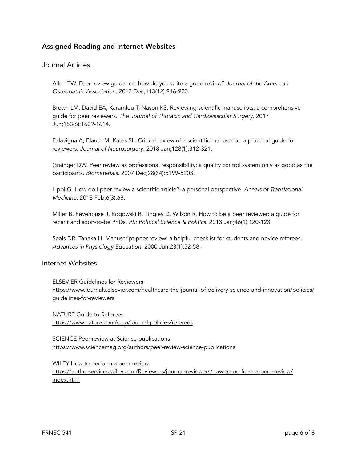# Assigned Reading and Internet Websites

#### Journal Articles

Allen TW. Peer review guidance: how do you write a good review? *Journal of the American Osteopathic Association*. 2013 Dec;113(12):916-920.

Brown LM, David EA, Karamlou T, Nason KS. Reviewing scientific manuscripts: a comprehensive guide for peer reviewers. *The Journal of Thoracic and Cardiovascular Surgery*. 2017 Jun;153(6):1609-1614.

Falavigna A, Blauth M, Kates SL. Critical review of a scientific manuscript: a practical guide for reviewers. *Journal of Neurosurgery*. 2018 Jan;128(1):312-321.

Grainger DW. Peer review as professional responsibility: a quality control system only as good as the participants. *Biomaterials*. 2007 Dec;28(34):5199-5203.

Lippi G. How do I peer-review a scientific article?–a personal perspective. *Annals of Translational Medicine*. 2018 Feb;6(3):68.

Miller B, Pevehouse J, Rogowski R, Tingley D, Wilson R. How to be a peer reviewer: a guide for recent and soon-to-be PhDs. *PS: Political Science & Politics*. 2013 Jan;46(1):120-123.

Seals DR, Tanaka H. Manuscript peer review: a helpful checklist for students and novice referees. *Advances in Physiology Education*. 2000 Jun;23(1):52-58.

#### Internet Websites

ELSEVIER Guidelines for Reviewers [https://www.journals.elsevier.com/healthcare-the-journal-of-delivery-science-and-innovation/policies/](https://www.journals.elsevier.com/healthcare-the-journal-of-delivery-science-and-innovation/policies/guidelines-for-reviewers) [guidelines-for-reviewers](https://www.journals.elsevier.com/healthcare-the-journal-of-delivery-science-and-innovation/policies/guidelines-for-reviewers)

NATURE Guide to Referees <https://www.nature.com/srep/journal-policies/referees>

SCIENCE Peer review at Science publications <https://www.sciencemag.org/authors/peer-review-science-publications>

WILEY How to perform a peer review [https://authorservices.wiley.com/Reviewers/journal-reviewers/how-to-perform-a-peer-review/](https://authorservices.wiley.com/Reviewers/journal-reviewers/how-to-perform-a-peer-review/index.html) [index.html](https://authorservices.wiley.com/Reviewers/journal-reviewers/how-to-perform-a-peer-review/index.html)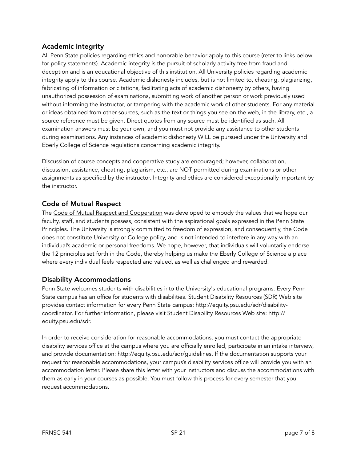## Academic Integrity

All Penn State policies regarding ethics and honorable behavior apply to this course (refer to links below for policy statements). Academic integrity is the pursuit of scholarly activity free from fraud and deception and is an educational objective of this institution. All University policies regarding academic integrity apply to this course. Academic dishonesty includes, but is not limited to, cheating, plagiarizing, fabricating of information or citations, facilitating acts of academic dishonesty by others, having unauthorized possession of examinations, submitting work of another person or work previously used without informing the instructor, or tampering with the academic work of other students. For any material or ideas obtained from other sources, such as the text or things you see on the web, in the library, etc., a source reference must be given. Direct quotes from any source must be identified as such. All examination answers must be your own, and you must not provide any assistance to other students during examinations. Any instances of academic dishonesty WILL be pursued under the [University](http://www.psu.edu/ufs/policies/) and [Eberly College of Science](http://science.psu.edu/current-students/Integrity/index.html) regulations concerning academic integrity.

Discussion of course concepts and cooperative study are encouraged; however, collaboration, discussion, assistance, cheating, plagiarism, etc., are NOT permitted during examinations or other assignments as specified by the instructor. Integrity and ethics are considered exceptionally important by the instructor.

# Code of Mutual Respect

The [Code of Mutual Respect and Cooperation](http://science.psu.edu/climate/Code-of-Mutual-Respect%20final.pdf) was developed to embody the values that we hope our faculty, staff, and students possess, consistent with the aspirational goals expressed in the Penn State Principles. The University is strongly committed to freedom of expression, and consequently, the Code does not constitute University or College policy, and is not intended to interfere in any way with an individual's academic or personal freedoms. We hope, however, that individuals will voluntarily endorse the 12 principles set forth in the Code, thereby helping us make the Eberly College of Science a place where every individual feels respected and valued, as well as challenged and rewarded.

### Disability Accommodations

Penn State welcomes students with disabilities into the University's educational programs. Every Penn State campus has an office for students with disabilities. Student Disability Resources (SDR) Web site provides contact information for every Penn State campus: [http://equity.psu.edu/sdr/disability](http://equity.psu.edu/sdr/disability-coordinator)[coordinator.](http://equity.psu.edu/sdr/disability-coordinator) For further information, please visit Student Disability Resources Web site: [http://](http://equity.psu.edu/sdr) [equity.psu.edu/sdr](http://equity.psu.edu/sdr).

In order to receive consideration for reasonable accommodations, you must contact the appropriate disability services office at the campus where you are officially enrolled, participate in an intake interview, and provide documentation: [http://equity.psu.edu/sdr/guidelines.](http://equity.psu.edu/sdr/guidelines) If the documentation supports your request for reasonable accommodations, your campus's disability services office will provide you with an accommodation letter. Please share this letter with your instructors and discuss the accommodations with them as early in your courses as possible. You must follow this process for every semester that you request accommodations.